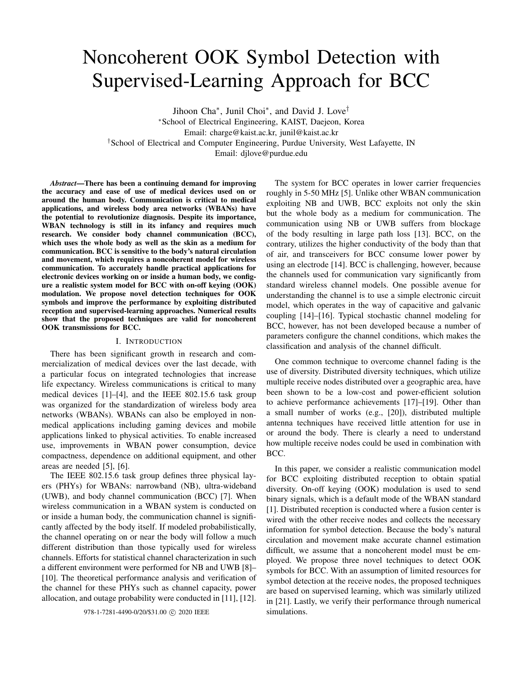# Noncoherent OOK Symbol Detection with Supervised-Learning Approach for BCC

Jihoon Cha<sup>∗</sup> , Junil Choi<sup>∗</sup> , and David J. Love† <sup>∗</sup>School of Electrical Engineering, KAIST, Daejeon, Korea Email: charge@kaist.ac.kr, junil@kaist.ac.kr †School of Electrical and Computer Engineering, Purdue University, West Lafayette, IN Email: djlove@purdue.edu

*Abstract*—There has been a continuing demand for improving the accuracy and ease of use of medical devices used on or around the human body. Communication is critical to medical applications, and wireless body area networks (WBANs) have the potential to revolutionize diagnosis. Despite its importance, WBAN technology is still in its infancy and requires much research. We consider body channel communication (BCC), which uses the whole body as well as the skin as a medium for communication. BCC is sensitive to the body's natural circulation and movement, which requires a noncoherent model for wireless communication. To accurately handle practical applications for electronic devices working on or inside a human body, we configure a realistic system model for BCC with on-off keying (OOK) modulation. We propose novel detection techniques for OOK symbols and improve the performance by exploiting distributed reception and supervised-learning approaches. Numerical results show that the proposed techniques are valid for noncoherent OOK transmissions for BCC.

#### I. INTRODUCTION

There has been significant growth in research and commercialization of medical devices over the last decade, with a particular focus on integrated technologies that increase life expectancy. Wireless communications is critical to many medical devices [1]–[4], and the IEEE 802.15.6 task group was organized for the standardization of wireless body area networks (WBANs). WBANs can also be employed in nonmedical applications including gaming devices and mobile applications linked to physical activities. To enable increased use, improvements in WBAN power consumption, device compactness, dependence on additional equipment, and other areas are needed [5], [6].

The IEEE 802.15.6 task group defines three physical layers (PHYs) for WBANs: narrowband (NB), ultra-wideband (UWB), and body channel communication (BCC) [7]. When wireless communication in a WBAN system is conducted on or inside a human body, the communication channel is significantly affected by the body itself. If modeled probabilistically, the channel operating on or near the body will follow a much different distribution than those typically used for wireless channels. Efforts for statistical channel characterization in such a different environment were performed for NB and UWB [8]– [10]. The theoretical performance analysis and verification of the channel for these PHYs such as channel capacity, power allocation, and outage probability were conducted in [11], [12].

The system for BCC operates in lower carrier frequencies roughly in 5-50 MHz [5]. Unlike other WBAN communication exploiting NB and UWB, BCC exploits not only the skin but the whole body as a medium for communication. The communication using NB or UWB suffers from blockage of the body resulting in large path loss [13]. BCC, on the contrary, utilizes the higher conductivity of the body than that of air, and transceivers for BCC consume lower power by using an electrode [14]. BCC is challenging, however, because the channels used for communication vary significantly from standard wireless channel models. One possible avenue for understanding the channel is to use a simple electronic circuit model, which operates in the way of capacitive and galvanic coupling [14]–[16]. Typical stochastic channel modeling for BCC, however, has not been developed because a number of parameters configure the channel conditions, which makes the classification and analysis of the channel difficult.

One common technique to overcome channel fading is the use of diversity. Distributed diversity techniques, which utilize multiple receive nodes distributed over a geographic area, have been shown to be a low-cost and power-efficient solution to achieve performance achievements [17]–[19]. Other than a small number of works (e.g., [20]), distributed multiple antenna techniques have received little attention for use in or around the body. There is clearly a need to understand how multiple receive nodes could be used in combination with BCC.

In this paper, we consider a realistic communication model for BCC exploiting distributed reception to obtain spatial diversity. On-off keying (OOK) modulation is used to send binary signals, which is a default mode of the WBAN standard [1]. Distributed reception is conducted where a fusion center is wired with the other receive nodes and collects the necessary information for symbol detection. Because the body's natural circulation and movement make accurate channel estimation difficult, we assume that a noncoherent model must be employed. We propose three novel techniques to detect OOK symbols for BCC. With an assumption of limited resources for symbol detection at the receive nodes, the proposed techniques are based on supervised learning, which was similarly utilized in [21]. Lastly, we verify their performance through numerical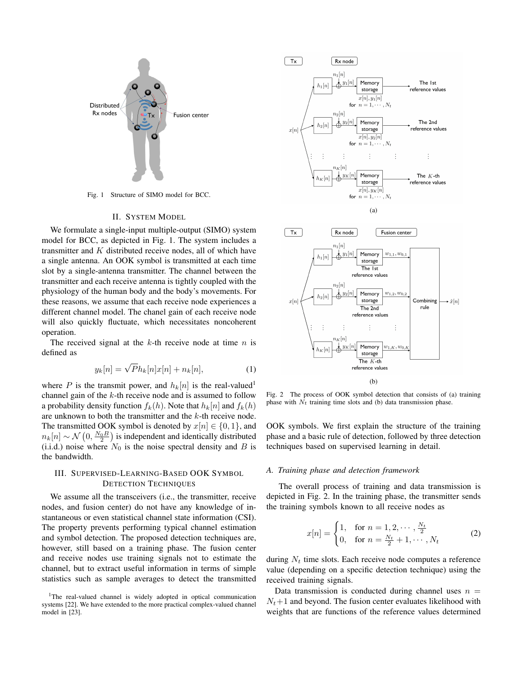

Fig. 1 Structure of SIMO model for BCC.

### II. SYSTEM MODEL

We formulate a single-input multiple-output (SIMO) system model for BCC, as depicted in Fig. 1. The system includes a transmitter and  $K$  distributed receive nodes, all of which have a single antenna. An OOK symbol is transmitted at each time slot by a single-antenna transmitter. The channel between the transmitter and each receive antenna is tightly coupled with the physiology of the human body and the body's movements. For these reasons, we assume that each receive node experiences a different channel model. The chanel gain of each receive node will also quickly fluctuate, which necessitates noncoherent operation.

The received signal at the  $k$ -th receive node at time  $n$  is defined as

$$
y_k[n] = \sqrt{P}h_k[n]x[n] + n_k[n],\tag{1}
$$

where P is the transmit power, and  $h_k[n]$  is the real-valued<sup>1</sup> channel gain of the  $k$ -th receive node and is assumed to follow a probability density function  $f_k(h)$ . Note that  $h_k[n]$  and  $f_k(h)$ are unknown to both the transmitter and the  $k$ -th receive node. The transmitted OOK symbol is denoted by  $x[n] \in \{0, 1\}$ , and  $n_k[n] \sim \mathcal{N}\left(0, \frac{N_0 B}{2}\right)$  is independent and identically distributed (i.i.d.) noise where  $N_0$  is the noise spectral density and B is the bandwidth.

# III. SUPERVISED-LEARNING-BASED OOK SYMBOL DETECTION TECHNIQUES

We assume all the transceivers (i.e., the transmitter, receive nodes, and fusion center) do not have any knowledge of instantaneous or even statistical channel state information (CSI). The property prevents performing typical channel estimation and symbol detection. The proposed detection techniques are, however, still based on a training phase. The fusion center and receive nodes use training signals not to estimate the channel, but to extract useful information in terms of simple statistics such as sample averages to detect the transmitted



Fig. 2 The process of OOK symbol detection that consists of (a) training phase with  $N_t$  training time slots and (b) data transmission phase.

OOK symbols. We first explain the structure of the training phase and a basic rule of detection, followed by three detection techniques based on supervised learning in detail.

#### *A. Training phase and detection framework*

The overall process of training and data transmission is depicted in Fig. 2. In the training phase, the transmitter sends the training symbols known to all receive nodes as

$$
x[n] = \begin{cases} 1, & \text{for } n = 1, 2, \cdots, \frac{N_t}{2} \\ 0, & \text{for } n = \frac{N_t}{2} + 1, \cdots, N_t \end{cases}
$$
 (2)

during  $N_t$  time slots. Each receive node computes a reference value (depending on a specific detection technique) using the received training signals.

Data transmission is conducted during channel uses  $n =$  $N_t+1$  and beyond. The fusion center evaluates likelihood with weights that are functions of the reference values determined

<sup>&</sup>lt;sup>1</sup>The real-valued channel is widely adopted in optical communication systems [22]. We have extended to the more practical complex-valued channel model in [23].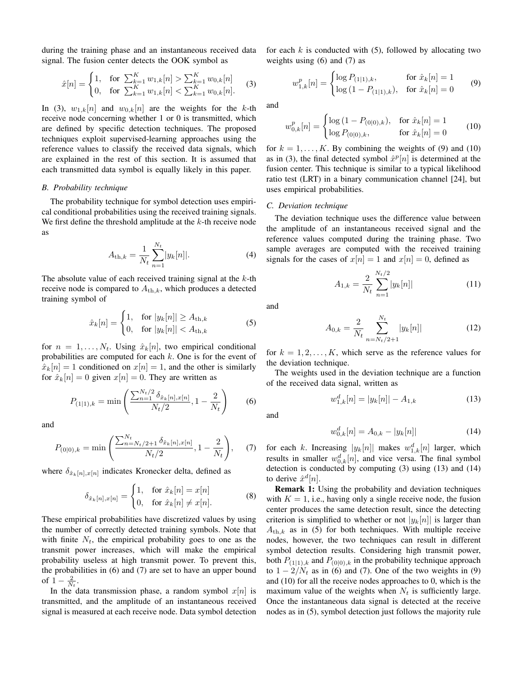during the training phase and an instantaneous received data signal. The fusion center detects the OOK symbol as

$$
\hat{x}[n] = \begin{cases} 1, & \text{for } \sum_{k=1}^{K} w_{1,k}[n] > \sum_{k=1}^{K} w_{0,k}[n] \\ 0, & \text{for } \sum_{k=1}^{K} w_{1,k}[n] < \sum_{k=1}^{K} w_{0,k}[n]. \end{cases} \tag{3}
$$

In (3),  $w_{1,k}[n]$  and  $w_{0,k}[n]$  are the weights for the k-th receive node concerning whether 1 or 0 is transmitted, which are defined by specific detection techniques. The proposed techniques exploit supervised-learning approaches using the reference values to classify the received data signals, which are explained in the rest of this section. It is assumed that each transmitted data symbol is equally likely in this paper.

# *B. Probability technique*

The probability technique for symbol detection uses empirical conditional probabilities using the received training signals. We first define the threshold amplitude at the  $k$ -th receive node as

$$
A_{\text{th},k} = \frac{1}{N_t} \sum_{n=1}^{N_t} |y_k[n]|.
$$
 (4)

The absolute value of each received training signal at the  $k$ -th receive node is compared to  $A_{th,k}$ , which produces a detected training symbol of

$$
\hat{x}_k[n] = \begin{cases} 1, & \text{for } |y_k[n]| \ge A_{\text{th},k} \\ 0, & \text{for } |y_k[n]| < A_{\text{th},k} \end{cases} \tag{5}
$$

for  $n = 1, \ldots, N_t$ . Using  $\hat{x}_k[n]$ , two empirical conditional probabilities are computed for each  $k$ . One is for the event of  $\hat{x}_k[n] = 1$  conditioned on  $x[n] = 1$ , and the other is similarly for  $\hat{x}_k[n] = 0$  given  $x[n] = 0$ . They are written as

$$
P_{(1|1),k} = \min\left(\frac{\sum_{n=1}^{N_t/2} \delta_{\hat{x}_k[n],x[n]}}{N_t/2}, 1 - \frac{2}{N_t}\right) \tag{6}
$$

and

$$
P_{(0|0),k} = \min\left(\frac{\sum_{n=N_t/2+1}^{N_t} \delta_{\hat{x}_k[n],x[n]}}{N_t/2}, 1 - \frac{2}{N_t}\right), \quad (7)
$$

where  $\delta_{\hat{x}_k[n],x[n]}$  indicates Kronecker delta, defined as

$$
\delta_{\hat{x}_k[n],x[n]} = \begin{cases} 1, & \text{for } \hat{x}_k[n] = x[n] \\ 0, & \text{for } \hat{x}_k[n] \neq x[n]. \end{cases}
$$
 (8)

These empirical probabilities have discretized values by using the number of correctly detected training symbols. Note that with finite  $N_t$ , the empirical probability goes to one as the transmit power increases, which will make the empirical probability useless at high transmit power. To prevent this, the probabilities in (6) and (7) are set to have an upper bound of  $1-\frac{2}{N_t}$ .

In the data transmission phase, a random symbol  $x[n]$  is transmitted, and the amplitude of an instantaneous received signal is measured at each receive node. Data symbol detection for each  $k$  is conducted with (5), followed by allocating two weights using (6) and (7) as

$$
w_{1,k}^{p}[n] = \begin{cases} \log P_{(1|1),k}, & \text{for } \hat{x}_k[n] = 1\\ \log (1 - P_{(1|1),k}), & \text{for } \hat{x}_k[n] = 0 \end{cases}
$$
(9)

and

$$
w_{0,k}^p[n] = \begin{cases} \log\left(1 - P_{(0|0),k}\right), & \text{for } \hat{x}_k[n] = 1\\ \log P_{(0|0),k}, & \text{for } \hat{x}_k[n] = 0 \end{cases} \tag{10}
$$

for  $k = 1, \ldots, K$ . By combining the weights of (9) and (10) as in (3), the final detected symbol  $\hat{x}^p[n]$  is determined at the fusion center. This technique is similar to a typical likelihood ratio test (LRT) in a binary communication channel [24], but uses empirical probabilities.

# *C. Deviation technique*

The deviation technique uses the difference value between the amplitude of an instantaneous received signal and the reference values computed during the training phase. Two sample averages are computed with the received training signals for the cases of  $x[n] = 1$  and  $x[n] = 0$ , defined as

$$
A_{1,k} = \frac{2}{N_t} \sum_{n=1}^{N_t/2} |y_k[n]| \tag{11}
$$

and

$$
A_{0,k} = \frac{2}{N_t} \sum_{n=N_t/2+1}^{N_t} |y_k[n]| \tag{12}
$$

for  $k = 1, 2, \dots, K$ , which serve as the reference values for the deviation technique.

The weights used in the deviation technique are a function of the received data signal, written as

$$
w_{1,k}^d[n] = |y_k[n]| - A_{1,k} \tag{13}
$$

and

$$
w_{0,k}^d[n] = A_{0,k} - |y_k[n]| \tag{14}
$$

for each k. Increasing  $|y_k[n]|$  makes  $w_{1,k}^d[n]$  larger, which results in smaller  $w_{0,k}^d[n]$ , and vice versa. The final symbol detection is conducted by computing (3) using (13) and (14) to derive  $\hat{x}^d[n]$ .

Remark 1: Using the probability and deviation techniques with  $K = 1$ , i.e., having only a single receive node, the fusion center produces the same detection result, since the detecting criterion is simplified to whether or not  $|y_k[n]|$  is larger than  $A_{\text{th},k}$  as in (5) for both techniques. With multiple receive nodes, however, the two techniques can result in different symbol detection results. Considering high transmit power, both  $P_{(1|1),k}$  and  $P_{(0|0),k}$  in the probability technique approach to  $1 - 2/N_t$  as in (6) and (7). One of the two weights in (9) and (10) for all the receive nodes approaches to 0, which is the maximum value of the weights when  $N_t$  is sufficiently large. Once the instantaneous data signal is detected at the receive nodes as in (5), symbol detection just follows the majority rule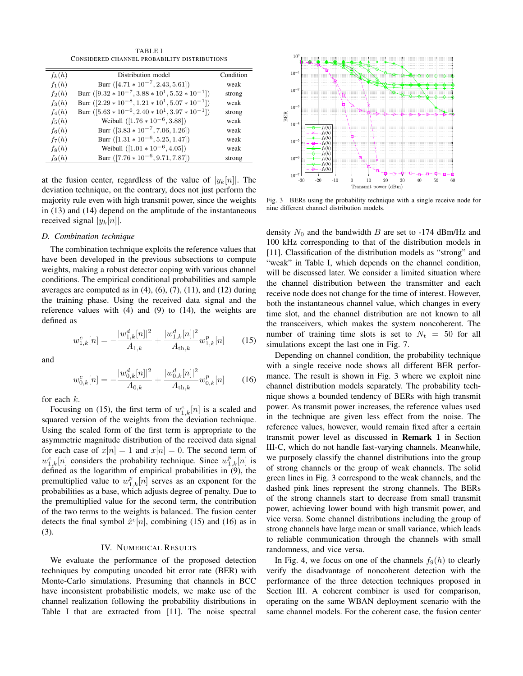TABLE I CONSIDERED CHANNEL PROBABILITY DISTRIBUTIONS

| $f_k(h)$ | Distribution model                                       | Condition |
|----------|----------------------------------------------------------|-----------|
| $f_1(h)$ | Burr $([4.71 * 10^{-7}, 2.43, 5.61])$                    | weak      |
| $f_2(h)$ | Burr $([9.32 * 10^{-7}, 3.88 * 10^{1}, 5.52 * 10^{-1}])$ | strong    |
| $f_3(h)$ | Burr $([2.29 * 10^{-8}, 1.21 * 10^{1}, 5.07 * 10^{-1}])$ | weak      |
| $f_4(h)$ | Burr $([5.63 * 10^{-6}, 2.40 * 10^{1}, 3.97 * 10^{-1}])$ | strong    |
| $f_5(h)$ | Weibull $([1.76 * 10^{-6}, 3.88])$                       | weak      |
| $f_6(h)$ | Burr $([3.83 * 10^{-7}, 7.06, 1.26])$                    | weak      |
| $f_7(h)$ | Burr $([1.31 * 10^{-6}, 5.25, 1.47])$                    | weak      |
| $f_8(h)$ | Weibull $([1.01 * 10^{-6}, 4.05])$                       | weak      |
| $f_9(h)$ | Burr $([7.76 * 10^{-6}, 9.71, 7.87])$                    | strong    |
|          |                                                          |           |

at the fusion center, regardless of the value of  $|y_k[n]|$ . The deviation technique, on the contrary, does not just perform the majority rule even with high transmit power, since the weights in (13) and (14) depend on the amplitude of the instantaneous received signal  $|y_k[n]|$ .

# *D. Combination technique*

The combination technique exploits the reference values that have been developed in the previous subsections to compute weights, making a robust detector coping with various channel conditions. The empirical conditional probabilities and sample averages are computed as in  $(4)$ ,  $(6)$ ,  $(7)$ ,  $(11)$ , and  $(12)$  during the training phase. Using the received data signal and the reference values with (4) and (9) to (14), the weights are defined as

$$
w_{1,k}^c[n] = -\frac{|w_{1,k}^d[n]|^2}{A_{1,k}} + \frac{|w_{1,k}^d[n]|^2}{A_{\text{th},k}} w_{1,k}^p[n] \tag{15}
$$

and

$$
w_{0,k}^c[n] = -\frac{|w_{0,k}^d[n]|^2}{A_{0,k}} + \frac{|w_{0,k}^d[n]|^2}{A_{\text{th},k}} w_{0,k}^p[n] \tag{16}
$$

for each  $k$ .

Focusing on (15), the first term of  $w_{1,k}^c[n]$  is a scaled and squared version of the weights from the deviation technique. Using the scaled form of the first term is appropriate to the asymmetric magnitude distribution of the received data signal for each case of  $x[n] = 1$  and  $x[n] = 0$ . The second term of  $w_{1,k}^c[n]$  considers the probability technique. Since  $w_{1,k}^p[n]$  is defined as the logarithm of empirical probabilities in (9), the premultiplied value to  $w_{1,k}^p[n]$  serves as an exponent for the probabilities as a base, which adjusts degree of penalty. Due to the premultiplied value for the second term, the contribution of the two terms to the weights is balanced. The fusion center detects the final symbol  $\hat{x}^c[n]$ , combining (15) and (16) as in (3).

# IV. NUMERICAL RESULTS

We evaluate the performance of the proposed detection techniques by computing uncoded bit error rate (BER) with Monte-Carlo simulations. Presuming that channels in BCC have inconsistent probabilistic models, we make use of the channel realization following the probability distributions in Table I that are extracted from [11]. The noise spectral



Fig. 3 BERs using the probability technique with a single receive node for nine different channel distribution models.

density  $N_0$  and the bandwidth B are set to -174 dBm/Hz and 100 kHz corresponding to that of the distribution models in [11]. Classification of the distribution models as "strong" and "weak" in Table I, which depends on the channel condition, will be discussed later. We consider a limited situation where the channel distribution between the transmitter and each receive node does not change for the time of interest. However, both the instantaneous channel value, which changes in every time slot, and the channel distribution are not known to all the transceivers, which makes the system noncoherent. The number of training time slots is set to  $N_t = 50$  for all simulations except the last one in Fig. 7.

Depending on channel condition, the probability technique with a single receive node shows all different BER performance. The result is shown in Fig. 3 where we exploit nine channel distribution models separately. The probability technique shows a bounded tendency of BERs with high transmit power. As transmit power increases, the reference values used in the technique are given less effect from the noise. The reference values, however, would remain fixed after a certain transmit power level as discussed in Remark 1 in Section III-C, which do not handle fast-varying channels. Meanwhile, we purposely classify the channel distributions into the group of strong channels or the group of weak channels. The solid green lines in Fig. 3 correspond to the weak channels, and the dashed pink lines represent the strong channels. The BERs of the strong channels start to decrease from small transmit power, achieving lower bound with high transmit power, and vice versa. Some channel distributions including the group of strong channels have large mean or small variance, which leads to reliable communication through the channels with small randomness, and vice versa.

In Fig. 4, we focus on one of the channels  $f_9(h)$  to clearly verify the disadvantage of noncoherent detection with the performance of the three detection techniques proposed in Section III. A coherent combiner is used for comparison, operating on the same WBAN deployment scenario with the same channel models. For the coherent case, the fusion center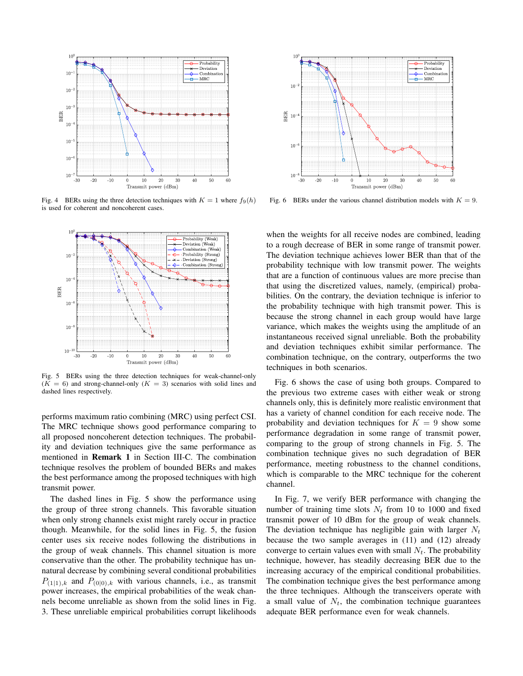

Fig. 4 BERs using the three detection techniques with  $K = 1$  where  $f_9(h)$ is used for coherent and noncoherent cases.



Fig. 5 BERs using the three detection techniques for weak-channel-only  $(K = 6)$  and strong-channel-only  $(K = 3)$  scenarios with solid lines and dashed lines respectively.

performs maximum ratio combining (MRC) using perfect CSI. The MRC technique shows good performance comparing to all proposed noncoherent detection techniques. The probability and deviation techniques give the same performance as mentioned in Remark 1 in Section III-C. The combination technique resolves the problem of bounded BERs and makes the best performance among the proposed techniques with high transmit power.

The dashed lines in Fig. 5 show the performance using the group of three strong channels. This favorable situation when only strong channels exist might rarely occur in practice though. Meanwhile, for the solid lines in Fig. 5, the fusion center uses six receive nodes following the distributions in the group of weak channels. This channel situation is more conservative than the other. The probability technique has unnatural decrease by combining several conditional probabilities  $P_{(1|1),k}$  and  $P_{(0|0),k}$  with various channels, i.e., as transmit power increases, the empirical probabilities of the weak channels become unreliable as shown from the solid lines in Fig. 3. These unreliable empirical probabilities corrupt likelihoods



Fig. 6 BERs under the various channel distribution models with  $K = 9$ .

when the weights for all receive nodes are combined, leading to a rough decrease of BER in some range of transmit power. The deviation technique achieves lower BER than that of the probability technique with low transmit power. The weights that are a function of continuous values are more precise than that using the discretized values, namely, (empirical) probabilities. On the contrary, the deviation technique is inferior to the probability technique with high transmit power. This is because the strong channel in each group would have large variance, which makes the weights using the amplitude of an instantaneous received signal unreliable. Both the probability and deviation techniques exhibit similar performance. The combination technique, on the contrary, outperforms the two techniques in both scenarios.

Fig. 6 shows the case of using both groups. Compared to the previous two extreme cases with either weak or strong channels only, this is definitely more realistic environment that has a variety of channel condition for each receive node. The probability and deviation techniques for  $K = 9$  show some performance degradation in some range of transmit power, comparing to the group of strong channels in Fig. 5. The combination technique gives no such degradation of BER performance, meeting robustness to the channel conditions, which is comparable to the MRC technique for the coherent channel.

In Fig. 7, we verify BER performance with changing the number of training time slots  $N_t$  from 10 to 1000 and fixed transmit power of 10 dBm for the group of weak channels. The deviation technique has negligible gain with larger  $N_t$ because the two sample averages in (11) and (12) already converge to certain values even with small  $N_t$ . The probability technique, however, has steadily decreasing BER due to the increasing accuracy of the empirical conditional probabilities. The combination technique gives the best performance among the three techniques. Although the transceivers operate with a small value of  $N_t$ , the combination technique guarantees adequate BER performance even for weak channels.